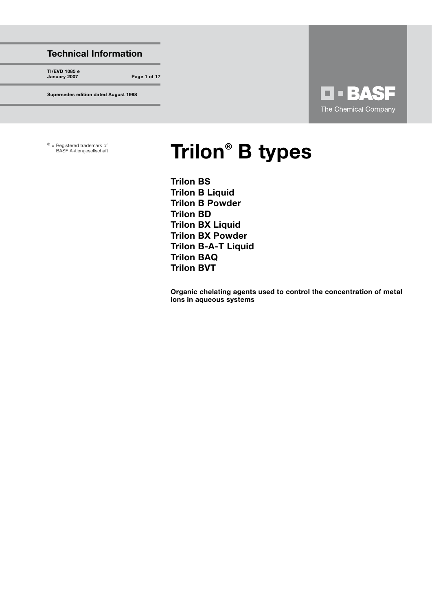#### Technical Information

TI/EVD 1085 e January 2007 Page 1 of 17

Supersedes edition dated August 1998

# **O - BASF** The Chemical Company

® = Registered trademark of

# Registered trademark of **Frilon ®** B types

Trilon BS Trilon B Liquid Trilon B Powder Trilon BD Trilon BX Liquid Trilon BX Powder Trilon B-A-T Liquid Trilon BAQ Trilon BVT

Organic chelating agents used to control the concentration of metal ions in aqueous systems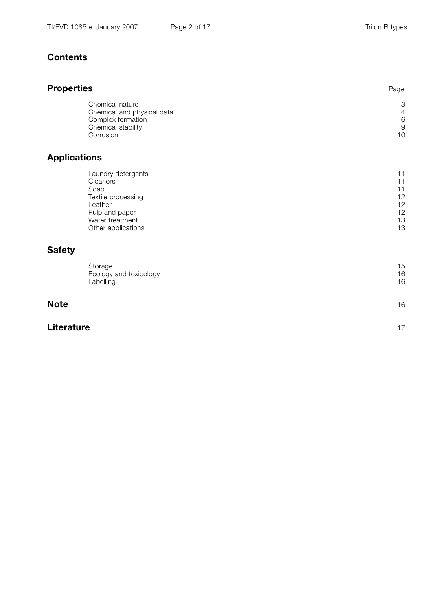### **Contents**

# Properties **Properties Properties** Chemical nature 3<br>Chemical and physical data 4<br>4 Chemical and physical data Complex formation 6 Chemical stability and the control of the control of the control of the control of the control of the control of the control of the control of the control of the control of the control of the control of the control of the Corrosion and the contract of the contract of the contract of the contract of the contract of the contract of the contract of the contract of the contract of the contract of the contract of the contract of the contract of Applications Laundry detergents and the control of the control of the control of the control of the control of the control of the control of the control of the control of the control of the control of the control of the control of the Cleaners **Cleaners Cleaners Page 11** Soap Page 11 - Andrea Soap Page 11 - Andrea Soap Page 11 - Andrea Soap Page 11 - Andrea Soap Textile processing 12<br>
Leather 12 Leather Page 12 Pulp and paper 12<br>
Water treatment 13 Water treatment 13<br>Other applications 13 Other applications **Safety** Storage 15 and 2012 the Storage 15 and 2012 the Storage 15 and 2013 the Storage 15 and 2013 the Storage 15 and Ecology and toxicology 16<br>
Labelling 16 Labelling the control of the control of the control of the control of the control of the control of the control of the control of the control of the control of the control of the control of the control of the control of th Note  $\blacksquare$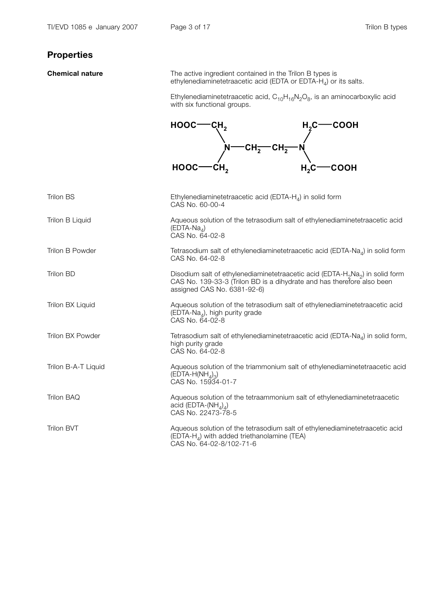# Properties

**Chemical nature** The active ingredient contained in the Trilon B types is ethylenediaminetetraacetic acid (EDTA or EDTA-H<sub>4</sub>) or its salts.

Ethylenediaminetetraacetic acid, C<sub>10</sub>H<sub>16</sub>N<sub>2</sub>O<sub>8</sub>, is an aminocarboxylic acid<br>with six functional groups.

| $HOOC$ —CH <sub>2</sub>              | $H2C$ COOH    |
|--------------------------------------|---------------|
|                                      |               |
| N—CH <del>_</del> CH <del>_ </del> N |               |
| $HOOC$ — $CH2$                       | $H, C$ - COOH |

| <b>Trilon BS</b>    | Ethylenediaminetetraacetic acid (EDTA- $H_4$ ) in solid form<br>CAS No. 60-00-4                                                                                                                                |
|---------------------|----------------------------------------------------------------------------------------------------------------------------------------------------------------------------------------------------------------|
| Trilon B Liquid     | Aqueous solution of the tetrasodium salt of ethylenediaminetetraacetic acid<br>$(EDTA-NaA)$<br>CAS No. 64-02-8                                                                                                 |
| Trilon B Powder     | Tetrasodium salt of ethylenediaminetetraacetic acid (EDTA-Na $_{4}$ ) in solid form<br>CAS No. 64-02-8                                                                                                         |
| Trilon BD           | Disodium salt of ethylenediaminetetraacetic acid (EDTA-H <sub>2</sub> Na <sub>2</sub> ) in solid form<br>CAS No. 139-33-3 (Trilon BD is a dihydrate and has therefore also been<br>assigned CAS No. 6381-92-6) |
| Trilon BX Liquid    | Aqueous solution of the tetrasodium salt of ethylenediaminetetraacetic acid<br>$(EDTA-NaA)$ , high purity grade<br>CAS No. 64-02-8                                                                             |
| Trilon BX Powder    | Tetrasodium salt of ethylenediaminetetraacetic acid (EDTA-Na <sub>4</sub> ) in solid form,<br>high purity grade<br>CAS No. 64-02-8                                                                             |
| Trilon B-A-T Liquid | Aqueous solution of the triammonium salt of ethylenediaminetetraacetic acid<br>$(EDTA-H(NHA)3)$<br>CAS No. 15934-01-7                                                                                          |
| <b>Trilon BAQ</b>   | Aqueous solution of the tetraammonium salt of ethylenediaminetetraacetic<br>acid (EDTA-(NH <sub><math>_4</math>)<sub>4</sub>)</sub><br>CAS No. 22473-78-5                                                      |
| <b>Trilon BVT</b>   | Aqueous solution of the tetrasodium salt of ethylenediaminetetraacetic acid<br>(EDTA-H <sub>4</sub> ) with added triethanolamine (TEA)<br>CAS No. 64-02-8/102-71-6                                             |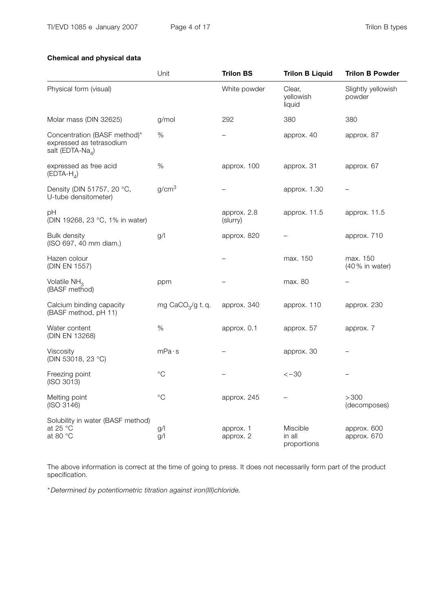#### Chemical and physical data

|                                                                                          | Unit                         | <b>Trilon BS</b>        | <b>Trilon B Liquid</b>                   | <b>Trilon B Powder</b>       |
|------------------------------------------------------------------------------------------|------------------------------|-------------------------|------------------------------------------|------------------------------|
| Physical form (visual)                                                                   |                              | White powder            | Clear,<br>yellowish<br>liquid            | Slightly yellowish<br>powder |
| Molar mass (DIN 32625)                                                                   | g/mol                        | 292                     | 380                                      | 380                          |
| Concentration (BASF method)*<br>expressed as tetrasodium<br>salt (EDTA-Na <sub>4</sub> ) | %                            |                         | approx. 40                               | approx. 87                   |
| expressed as free acid<br>$(EDTA-HA)$                                                    | $\%$                         | approx. 100             | approx. 31                               | approx. 67                   |
| Density (DIN 51757, 20 °C,<br>U-tube densitometer)                                       | g/cm <sup>3</sup>            |                         | approx. 1.30                             |                              |
| рH<br>(DIN 19268, 23 °C, 1% in water)                                                    |                              | approx. 2.8<br>(slurry) | approx. 11.5                             | approx. 11.5                 |
| <b>Bulk density</b><br>(ISO 697, 40 mm diam.)                                            | g/                           | approx. 820             |                                          | approx. 710                  |
| Hazen colour<br>(DIN EN 1557)                                                            |                              |                         | max. 150                                 | max. 150<br>(40 % in water)  |
| Volatile $NH3$<br>(BASF method)                                                          | ppm                          |                         | max. 80                                  | $\overline{\phantom{0}}$     |
| Calcium binding capacity<br>(BASF method, pH 11)                                         | mg CaCO <sub>3</sub> /g t.q. | approx. 340             | approx. 110                              | approx. 230                  |
| Water content<br>(DIN EN 13268)                                                          | $\%$                         | approx. 0.1             | approx. 57                               | approx. 7                    |
| Viscosity<br>(DIN 53018, 23 °C)                                                          | mPa·s                        |                         | approx. 30                               |                              |
| Freezing point<br>(ISO 3013)                                                             | $^{\circ}C$                  |                         | $<-30$                                   |                              |
| Melting point<br>(ISO 3146)                                                              | $^{\circ}C$                  | approx. 245             |                                          | >300<br>(decomposes)         |
| Solubility in water (BASF method)<br>at 25 °C<br>at 80 °C                                | g/<br>g/l                    | approx. 1<br>approx. 2  | <b>Miscible</b><br>in all<br>proportions | approx. 600<br>approx. 670   |

The above information is correct at the time of going to press. It does not necessarily form part of the product specification.

\* Determined by potentiometric titration against iron(III)chloride.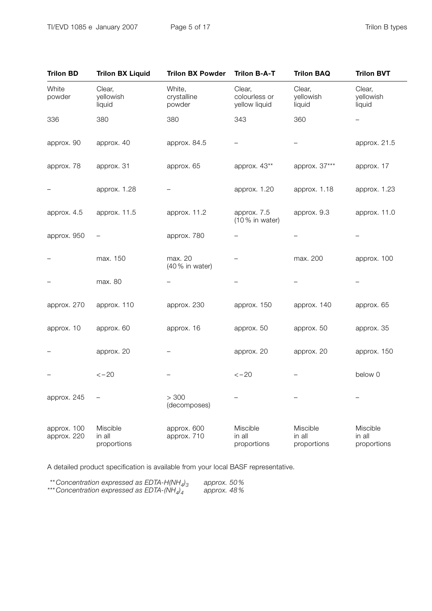| <b>Trilon BD</b>           | <b>Trilon BX Liquid</b>           | <b>Trilon BX Powder</b>         | <b>Trilon B-A-T</b>                      | <b>Trilon BAQ</b>                 | <b>Trilon BVT</b>                 |
|----------------------------|-----------------------------------|---------------------------------|------------------------------------------|-----------------------------------|-----------------------------------|
| White<br>powder            | Clear,<br>yellowish<br>liquid     | White,<br>crystalline<br>powder | Clear,<br>colourless or<br>yellow liquid | Clear,<br>yellowish<br>liquid     | Clear,<br>yellowish<br>liquid     |
| 336                        | 380                               | 380                             | 343                                      | 360                               |                                   |
| approx. 90                 | approx. 40                        | approx. 84.5                    | $\overline{\phantom{0}}$                 |                                   | approx. 21.5                      |
| approx. 78                 | approx. 31                        | approx. 65                      | approx. 43**                             | approx. 37***                     | approx. 17                        |
|                            | approx. 1.28                      |                                 | approx. 1.20                             | approx. 1.18                      | approx. 1.23                      |
| approx. 4.5                | approx. 11.5                      | approx. 11.2                    | approx. 7.5<br>$(10%$ in water)          | approx. 9.3                       | approx. 11.0                      |
| approx. 950                |                                   | approx. 780                     | $\overline{\phantom{0}}$                 |                                   |                                   |
|                            | max. 150                          | max. 20<br>(40% in water)       |                                          | max. 200                          | approx. 100                       |
|                            | max. 80                           |                                 |                                          |                                   |                                   |
| approx. 270                | approx. 110                       | approx. 230                     | approx. 150                              | approx. 140                       | approx. 65                        |
| approx. 10                 | approx. 60                        | approx. 16                      | approx. 50                               | approx. 50                        | approx. 35                        |
|                            | approx. 20                        |                                 | approx. 20                               | approx. 20                        | approx. 150                       |
|                            | $<-20$                            |                                 | $<-20$                                   |                                   | below 0                           |
| approx. 245                |                                   | > 300<br>(decomposes)           |                                          |                                   |                                   |
| approx. 100<br>approx. 220 | Miscible<br>in all<br>proportions | approx. 600<br>approx. 710      | Miscible<br>in all<br>proportions        | Miscible<br>in all<br>proportions | Miscible<br>in all<br>proportions |

A detailed product specification is available from your local BASF representative.

| **Concentration expressed as EDTA-H(NH <sub>4</sub> ) <sub>3</sub> | approx. $50\%$ |  |
|--------------------------------------------------------------------|----------------|--|
| ***Concentration expressed as EDTA-(NH $_{d}$ ) <sup>1</sup>       | approx. 48%    |  |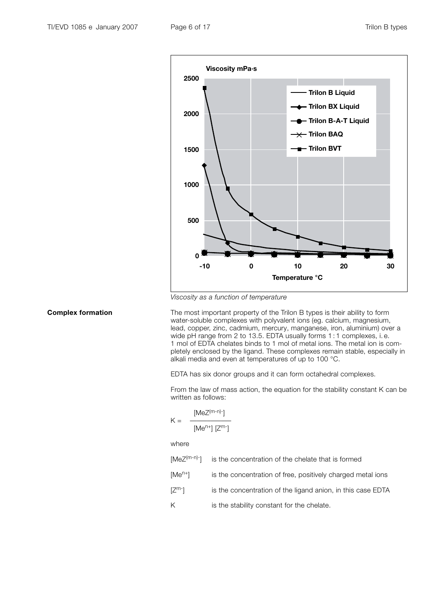

Viscosity as a function of temperature

**Complex formation** The most important property of the Trilon B types is their ability to form water-soluble complexes with polyvalent ions (eg. calcium, magnesium, lead, copper, zinc, cadmium, mercury, manganese, iron, aluminium) over a wide pH range from 2 to 13.5. EDTA usually forms 1 : 1 complexes, i. e. 1 mol of EDTA chelates binds to 1 mol of metal ions. The metal ion is completely enclosed by the ligand. These complexes remain stable, especially in alkali media and even at temperatures of up to 100 °C.

EDTA has six donor groups and it can form octahedral complexes.

From the law of mass action, the equation for the stability constant K can be written as follows:

$$
K = \frac{[MeZ^{(m-n)-}]}{[Me^{n+}][Z^{m-}]}
$$

where

| $[MeZ(m-n)$ <sup>-</sup> ] is the concentration of the chelate that is formed |  |  |  |  |  |  |
|-------------------------------------------------------------------------------|--|--|--|--|--|--|
|-------------------------------------------------------------------------------|--|--|--|--|--|--|

- [Me<sup>n+</sup>] is the concentration of free, positively charged metal ions
- $[Z<sup>m</sup>$ <sup>-</sup>] is the concentration of the ligand anion, in this case EDTA
- K is the stability constant for the chelate.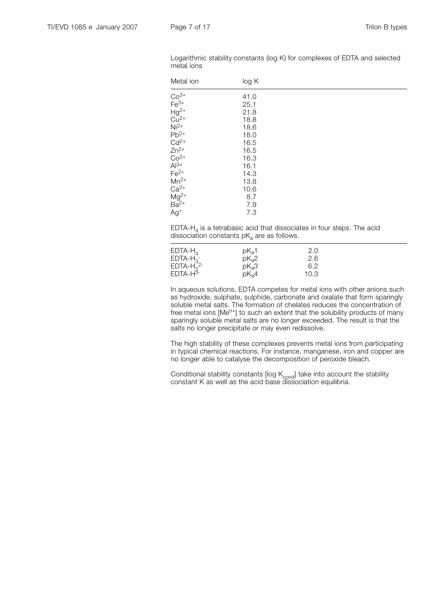| Metal ion                                                                                 | log K |  |
|-------------------------------------------------------------------------------------------|-------|--|
| $Co^{3+}$<br>Fe <sup>3+</sup><br>Hg <sup>2+</sup><br>Cu <sup>2+</sup><br>Ni <sup>2+</sup> | 41.0  |  |
|                                                                                           | 25.1  |  |
|                                                                                           | 21.8  |  |
|                                                                                           | 18.8  |  |
|                                                                                           | 18.6  |  |
| $Pb^{2+}$                                                                                 | 18.0  |  |
| $Cd2+$                                                                                    | 16.5  |  |
| $Zn^{2+}$                                                                                 | 16.5  |  |
| $Co^{2+}$<br>Al <sup>3+</sup>                                                             | 16.3  |  |
|                                                                                           | 16.1  |  |
| $Fe2+$                                                                                    | 14.3  |  |
| $Mn^{2+}$                                                                                 | 13.8  |  |
|                                                                                           | 10.6  |  |
| Ca <sup>2+</sup><br>Mg <sup>2+</sup><br>Ba <sup>2+</sup>                                  | 8.7   |  |
|                                                                                           | 7.9   |  |
| $Ag+$                                                                                     | 7.3   |  |
|                                                                                           |       |  |

Logarithmic stability constants (log K) for complexes of EDTA and selected metal ions

EDTA-H<sub>4</sub> is a tetrabasic acid that dissociates in four steps. The acid dissociation constants  $pK<sub>a</sub>$  are as follows.

| $EDTA-HA$   | $pK_{a}1$         | 2.0  |
|-------------|-------------------|------|
| $EDTA-H3$   | pK <sub>a</sub> 2 | 2.6  |
| $EDTA-H22-$ | pK <sub>a</sub> 3 | 6.2  |
| $EDTA-H3$   | pK <sub>a</sub> 4 | 10.3 |

In aqueous solutions, EDTA competes for metal ions with other anions such as hydroxide, sulphate, sulphide, carbonate and oxalate that form sparingly soluble metal salts. The formation of chelates reduces the concentration of free metal ions [Me<sup>n+</sup>] to such an extent that the solubility products of many sparingly soluble metal salts are no longer exceeded. The result is that the salts no longer precipitate or may even redissolve.

The high stability of these complexes prevents metal ions from participating in typical chemical reactions. For instance, manganese, iron and copper are no longer able to catalyse the decomposition of peroxide bleach.

Conditional stability constants [log  $K_{\text{cond}}$ ] take into account the stability constant K as well as the acid base dissociation equilibria.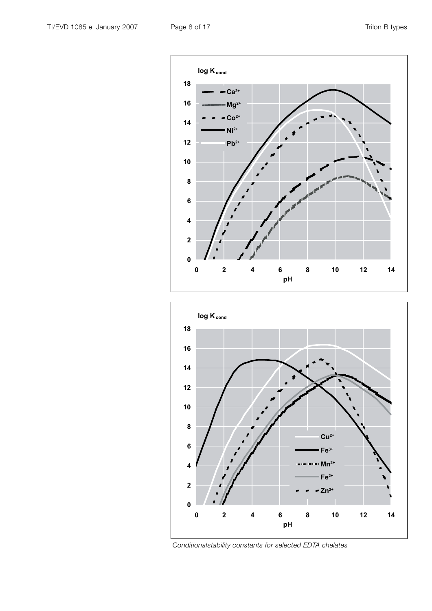



Conditionalstability constants for selected EDTA chelates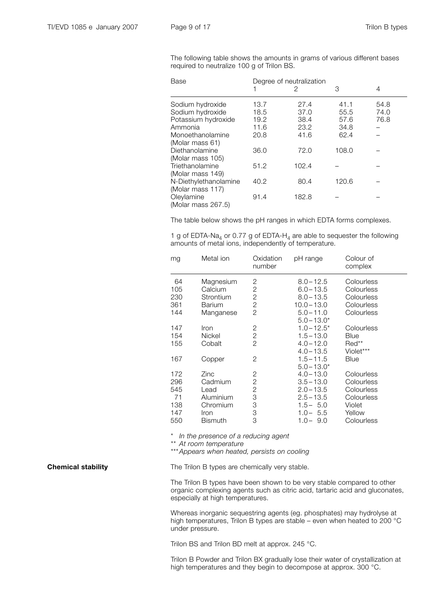The following table shows the amounts in grams of various different bases required to neutralize 100 g of Trilon BS.

| Base                  |      | Degree of neutralization |       |      |  |  |
|-----------------------|------|--------------------------|-------|------|--|--|
|                       |      | 2                        | 3     | 4    |  |  |
| Sodium hydroxide      | 13.7 | 27.4                     | 41.1  | 54.8 |  |  |
| Sodium hydroxide      | 18.5 | 37.0                     | 55.5  | 74.0 |  |  |
| Potassium hydroxide   | 19.2 | 38.4                     | 57.6  | 76.8 |  |  |
| Ammonia               | 11.6 | 23.2                     | 34.8  |      |  |  |
| Monoethanolamine      | 20.8 | 41.6                     | 62.4  |      |  |  |
| (Molar mass 61)       |      |                          |       |      |  |  |
| Diethanolamine        | 36.0 | 72.0                     | 108.0 |      |  |  |
| (Molar mass 105)      |      |                          |       |      |  |  |
| Triethanolamine       | 51.2 | 102.4                    |       |      |  |  |
| (Molar mass 149)      |      |                          |       |      |  |  |
| N-Diethylethanolamine | 40.2 | 80.4                     | 120.6 |      |  |  |
| (Molar mass 117)      |      |                          |       |      |  |  |
| Oleylamine            | 91.4 | 182.8                    |       |      |  |  |
| (Molar mass 267.5)    |      |                          |       |      |  |  |

The table below shows the pH ranges in which EDTA forms complexes.

1 g of EDTA-Na<sub>4</sub> or 0.77 g of EDTA-H<sub>4</sub> are able to sequester the following amounts of metal ions, independently of temperature.

| mg  | Metal ion      | Oxidation<br>number | pH range       | Colour of<br>complex |
|-----|----------------|---------------------|----------------|----------------------|
| 64  | Magnesium      | 2                   | $8.0 - 12.5$   | Colourless           |
| 105 | Calcium        | $\mathbf{2}$        | $6.0 - 13.5$   | Colourless           |
| 230 | Strontium      | 2                   | $8.0 - 13.5$   | Colourless           |
| 361 | <b>Barium</b>  | $\mathbf{2}$        | $10.0 - 13.0$  | Colourless           |
| 144 | Manganese      | $\overline{2}$      | $5.0 - 11.0$   | Colourless           |
|     |                |                     | $5.0 - 13.0*$  |                      |
| 147 | Iron           | 2                   | $1.0 - 12.5^*$ | Colourless           |
| 154 | Nickel         | $\mathbf{2}$        | $1.5 - 13.0$   | Blue                 |
| 155 | Cobalt         | 2                   | $4.0 - 12.0$   | $Red**$              |
|     |                |                     | $4.0 - 13.5$   | Violet***            |
| 167 | Copper         | 2                   | $1.5 - 11.5$   | Blue                 |
|     |                |                     | $5.0 - 13.0*$  |                      |
| 172 | Zinc           | 2                   | $4.0 - 13.0$   | Colourless           |
| 296 | Cadmium        | $\mathbf 2$         | $3.5 - 13.0$   | Colourless           |
| 545 | Lead           | $\mathbf{2}$        | $2.0 - 13.5$   | Colourless           |
| 71  | Aluminium      | 3                   | $2.5 - 13.5$   | Colourless           |
| 138 | Chromium       | 3                   | $1.5 - 5.0$    | Violet               |
| 147 | <i>Iron</i>    | 3                   | $1.0 - 5.5$    | Yellow               |
| 550 | <b>Bismuth</b> | 3                   | $1.0 - 9.0$    | Colourless           |

\* In the presence of a reducing agent

\*\*\* At room temperature

\*\*\* Appears when heated, persists on cooling

**Chemical stability** The Trilon B types are chemically very stable.

The Trilon B types have been shown to be very stable compared to other organic complexing agents such as citric acid, tartaric acid and gluconates, especially at high temperatures.

Whereas inorganic sequestring agents (eg. phosphates) may hydrolyse at high temperatures, Trilon B types are stable – even when heated to 200 °C under pressure.

Trilon BS and Trilon BD melt at approx. 245 °C.

Trilon B Powder and Trilon BX gradually lose their water of crystallization at high temperatures and they begin to decompose at approx. 300 °C.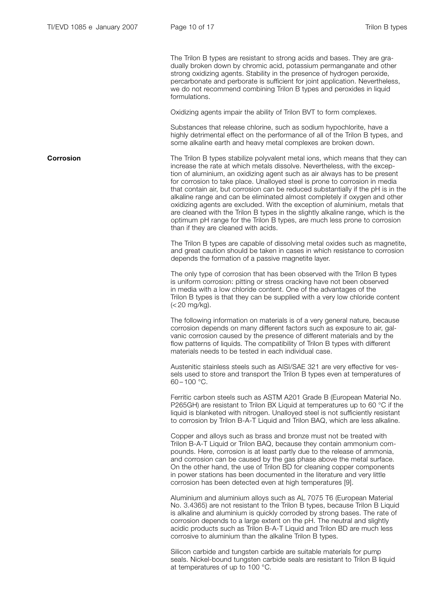The Trilon B types are resistant to strong acids and bases. They are gradually broken down by chromic acid, potassium permanganate and other strong oxidizing agents. Stability in the presence of hydrogen peroxide, percarbonate and perborate is sufficient for joint application. Nevertheless, we do not recommend combining Trilon B types and peroxides in liquid formulations.

Oxidizing agents impair the ability of Trilon BVT to form complexes.

Substances that release chlorine, such as sodium hypochlorite, have a highly detrimental effect on the performance of all of the Trilon B types, and some alkaline earth and heavy metal complexes are broken down.

**Corrosion** The Trilon B types stabilize polyvalent metal ions, which means that they can increase the rate at which metals dissolve. Nevertheless, with the exception of aluminium, an oxidizing agent such as air always has to be present for corrosion to take place. Unalloyed steel is prone to corrosion in media that contain air, but corrosion can be reduced substantially if the pH is in the alkaline range and can be eliminated almost completely if oxygen and other oxidizing agents are excluded. With the exception of aluminium, metals that are cleaned with the Trilon B types in the slightly alkaline range, which is the optimum pH range for the Trilon B types, are much less prone to corrosion than if they are cleaned with acids.

> The Trilon B types are capable of dissolving metal oxides such as magnetite, and great caution should be taken in cases in which resistance to corrosion depends the formation of a passive magnetite layer.

The only type of corrosion that has been observed with the Trilon B types is uniform corrosion: pitting or stress cracking have not been observed in media with a low chloride content. One of the advantages of the Trilon B types is that they can be supplied with a very low chloride content (< 20 mg/kg).

The following information on materials is of a very general nature, because corrosion depends on many different factors such as exposure to air, galvanic corrosion caused by the presence of different materials and by the flow patterns of liquids. The compatibility of Trilon B types with different materials needs to be tested in each individual case.

Austenitic stainless steels such as AISI/SAE 321 are very effective for vessels used to store and transport the Trilon B types even at temperatures of  $60 - 100$  °C.

Ferritic carbon steels such as ASTM A201 Grade B (European Material No. P265GH) are resistant to Trilon BX Liquid at temperatures up to 60 °C if the liquid is blanketed with nitrogen. Unalloyed steel is not sufficiently resistant to corrosion by Trilon B-A-T Liquid and Trilon BAQ, which are less alkaline.

Copper and alloys such as brass and bronze must not be treated with Trilon B-A-T Liquid or Trilon BAQ, because they contain ammonium compounds. Here, corrosion is at least partly due to the release of ammonia, and corrosion can be caused by the gas phase above the metal surface. On the other hand, the use of Trilon BD for cleaning copper components in power stations has been documented in the literature and very little corrosion has been detected even at high temperatures [9].

Aluminium and aluminium alloys such as AL 7075 T6 (European Material No. 3.4365) are not resistant to the Trilon B types, because Trilon B Liquid is alkaline and aluminium is quickly corroded by strong bases. The rate of corrosion depends to a large extent on the pH. The neutral and slightly acidic products such as Trilon B-A-T Liquid and Trilon BD are much less corrosive to aluminium than the alkaline Trilon B types.

Silicon carbide and tungsten carbide are suitable materials for pump seals. Nickel-bound tungsten carbide seals are resistant to Trilon B liquid at temperatures of up to 100 °C.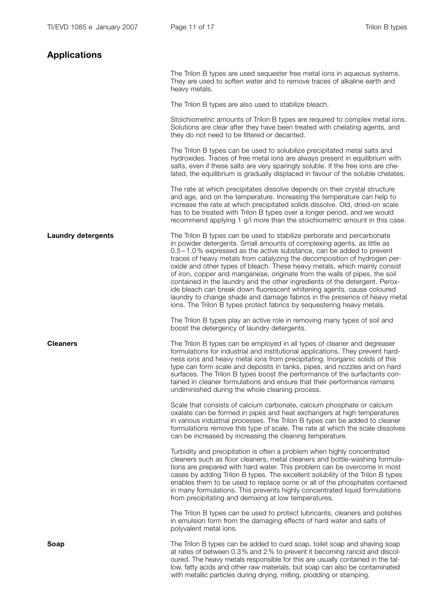| Applications              |                                                                                                                                                                                                                                                                                                                                                                                                                                                                                                                                                                                                                                                                                                                                                                                    |
|---------------------------|------------------------------------------------------------------------------------------------------------------------------------------------------------------------------------------------------------------------------------------------------------------------------------------------------------------------------------------------------------------------------------------------------------------------------------------------------------------------------------------------------------------------------------------------------------------------------------------------------------------------------------------------------------------------------------------------------------------------------------------------------------------------------------|
|                           | The Trilon B types are used sequester free metal ions in aqueous systems.<br>They are used to soften water and to remove traces of alkaline earth and<br>heavy metals.                                                                                                                                                                                                                                                                                                                                                                                                                                                                                                                                                                                                             |
|                           | The Trilon B types are also used to stabilize bleach.                                                                                                                                                                                                                                                                                                                                                                                                                                                                                                                                                                                                                                                                                                                              |
|                           | Stoichiometric amounts of Trilon B types are required to complex metal ions.<br>Solutions are clear after they have been treated with chelating agents, and<br>they do not need to be filtered or decanted.                                                                                                                                                                                                                                                                                                                                                                                                                                                                                                                                                                        |
|                           | The Trilon B types can be used to solubilize precipitated metal salts and<br>hydroxides. Traces of free metal ions are always present in equilibrium with<br>salts, even if these salts are very sparingly soluble. If the free ions are che-<br>lated, the equilibrium is gradually displaced in favour of the soluble chelates.                                                                                                                                                                                                                                                                                                                                                                                                                                                  |
|                           | The rate at which precipitates dissolve depends on their crystal structure<br>and age, and on the temperature. Increasing the temperature can help to<br>increase the rate at which precipitated solids dissolve. Old, dried-on scale<br>has to be treated with Trilon B types over a longer period, and we would<br>recommend applying 1 g/l more than the stoichiometric amount in this case.                                                                                                                                                                                                                                                                                                                                                                                    |
| <b>Laundry detergents</b> | The Trilon B types can be used to stabilize perborate and percarbonate<br>in powder detergents. Small amounts of complexing agents, as little as<br>0.5 – 1.0 % expressed as the active substance, can be added to prevent<br>traces of heavy metals from catalyzing the decomposition of hydrogen per-<br>oxide and other types of bleach. These heavy metals, which mainly consist<br>of iron, copper and manganese, originate from the walls of pipes, the soil<br>contained in the laundry and the other ingredients of the detergent. Perox-<br>ide bleach can break down fluorescent whitening agents, cause coloured<br>laundry to change shade and damage fabrics in the presence of heavy metal<br>ions. The Trilon B types protect fabrics by sequestering heavy metals. |
|                           | The Trilon B types play an active role in removing many types of soil and<br>boost the detergency of laundry detergents.                                                                                                                                                                                                                                                                                                                                                                                                                                                                                                                                                                                                                                                           |
| <b>Cleaners</b>           | The Trilon B types can be employed in all types of cleaner and degreaser<br>formulations for industrial and institutional applications. They prevent hard-<br>ness ions and heavy metal ions from precipitating. Inorganic solids of this<br>type can form scale and deposits in tanks, pipes, and nozzles and on hard<br>surfaces. The Trilon B types boost the performance of the surfactants con-<br>tained in cleaner formulations and ensure that their performance remains<br>undiminished during the whole cleaning process.                                                                                                                                                                                                                                                |
|                           | Scale that consists of calcium carbonate, calcium phosphate or calcium<br>oxalate can be formed in pipes and heat exchangers at high temperatures<br>in various industrial processes. The Trilon B types can be added to cleaner<br>formulations remove this type of scale. The rate at which the scale dissolves<br>can be increased by increasing the cleaning temperature.                                                                                                                                                                                                                                                                                                                                                                                                      |
|                           | Turbidity and precipitation is often a problem when highly concentrated<br>cleaners such as floor cleaners, metal cleaners and bottle-washing formula-<br>tions are prepared with hard water. This problem can be overcome in most<br>cases by adding Trilon B types. The excellent solubility of the Trilon B types<br>enables them to be used to replace some or all of the phosphates contained<br>in many formulations. This prevents highly concentrated liquid formulations                                                                                                                                                                                                                                                                                                  |

The Trilon B types can be used to protect lubricants, cleaners and polishes in emulsion form from the damaging effects of hard water and salts of polyvalent metal ions.

from precipitating and demixing at low temperatures.

**Soap** The Trilon B types can be added to curd soap, toilet soap and shaving soap at rates of between 0.3% and 2% to prevent it becoming rancid and discoloured. The heavy metals responsible for this are usually contained in the tallow, fatty acids and other raw materials, but soap can also be contaminated with metallic particles during drying, milling, plodding or stamping.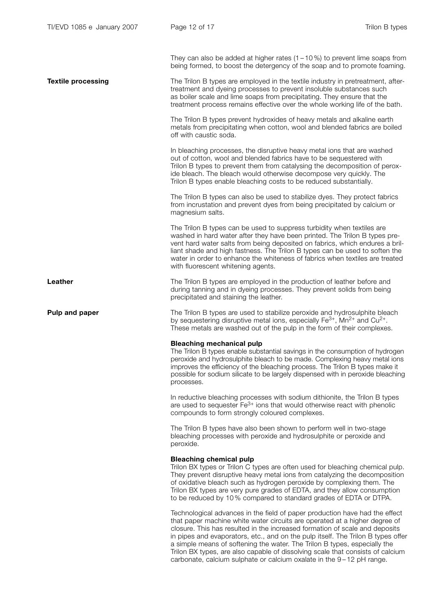They can also be added at higher rates  $(1 - 10\%)$  to prevent lime soaps from being formed, to boost the detergency of the soap and to promote foaming.

**Textile processing** The Trilon B types are employed in the textile industry in pretreatment, aftertreatment and dyeing processes to prevent insoluble substances such as boiler scale and lime soaps from precipitating. They ensure that the treatment process remains effective over the whole working life of the bath.

> The Trilon B types prevent hydroxides of heavy metals and alkaline earth metals from precipitating when cotton, wool and blended fabrics are boiled off with caustic soda.

> In bleaching processes, the disruptive heavy metal ions that are washed out of cotton, wool and blended fabrics have to be sequestered with Trilon B types to prevent them from catalysing the decomposition of peroxide bleach. The bleach would otherwise decompose very quickly. The Trilon B types enable bleaching costs to be reduced substantially.

The Trilon B types can also be used to stabilize dyes. They protect fabrics from incrustation and prevent dyes from being precipitated by calcium or magnesium salts.

The Trilon B types can be used to suppress turbidity when textiles are washed in hard water after they have been printed. The Trilon B types prevent hard water salts from being deposited on fabrics, which endures a brilliant shade and high fastness. The Trilon B types can be used to soften the water in order to enhance the whiteness of fabrics when textiles are treated with fluorescent whitening agents.

**Leather** The Trilon B types are employed in the production of leather before and during tanning and in dyeing processes. They prevent solids from being precipitated and staining the leather.

**Pulp and paper** The Trilon B types are used to stabilize peroxide and hydrosulphite bleach by sequestering disruptive metal ions, especially  $Fe^{3+}$ , Mn<sup>2+</sup> and Cu<sup>2+</sup>. These metals are washed out of the pulp in the form of their complexes.

#### Bleaching mechanical pulp

The Trilon B types enable substantial savings in the consumption of hydrogen peroxide and hydrosulphite bleach to be made. Complexing heavy metal ions improves the efficiency of the bleaching process. The Trilon B types make it possible for sodium silicate to be largely dispensed with in peroxide bleaching processes.

In reductive bleaching processes with sodium dithionite, the Trilon B types are used to sequester  $Fe<sup>3+</sup>$  ions that would otherwise react with phenolic compounds to form strongly coloured complexes.

The Trilon B types have also been shown to perform well in two-stage bleaching processes with peroxide and hydrosulphite or peroxide and peroxide.

#### Bleaching chemical pulp

Trilon BX types or Trilon C types are often used for bleaching chemical pulp. They prevent disruptive heavy metal ions from catalyzing the decomposition of oxidative bleach such as hydrogen peroxide by complexing them. The Trilon BX types are very pure grades of EDTA, and they allow consumption to be reduced by 10 % compared to standard grades of EDTA or DTPA.

Technological advances in the field of paper production have had the effect that paper machine white water circuits are operated at a higher degree of closure. This has resulted in the increased formation of scale and deposits in pipes and evaporators, etc., and on the pulp itself. The Trilon B types offer a simple means of softening the water. The Trilon B types, especially the Trilon BX types, are also capable of dissolving scale that consists of calcium carbonate, calcium sulphate or calcium oxalate in the 9 – 12 pH range.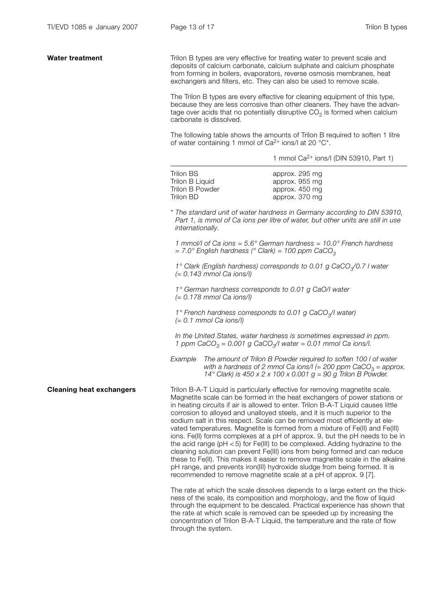| <b>Water treatment</b>          | Trilon B types are very effective for treating water to prevent scale and<br>deposits of calcium carbonate, calcium sulphate and calcium phosphate<br>from forming in boilers, evaporators, reverse osmosis membranes, heat<br>exchangers and filters, etc. They can also be used to remove scale.<br>The Trilon B types are every effective for cleaning equipment of this type,<br>because they are less corrosive than other cleaners. They have the advan-<br>tage over acids that no potentially disruptive $CO2$ is formed when calcium<br>carbonate is dissolved.<br>The following table shows the amounts of Trilon B required to soften 1 litre<br>of water containing 1 mmol of Ca <sup>2+</sup> ions/l at 20 °C <sup>*</sup> .<br>1 mmol $Ca^{2+}$ ions/I (DIN 53910, Part 1) |                                                                                                                                                                                                                                                                                                                                                                                                                                                                                                                                                                                                                                                                                                                                                                                                                                                                                                                |  |
|---------------------------------|------------------------------------------------------------------------------------------------------------------------------------------------------------------------------------------------------------------------------------------------------------------------------------------------------------------------------------------------------------------------------------------------------------------------------------------------------------------------------------------------------------------------------------------------------------------------------------------------------------------------------------------------------------------------------------------------------------------------------------------------------------------------------------------|----------------------------------------------------------------------------------------------------------------------------------------------------------------------------------------------------------------------------------------------------------------------------------------------------------------------------------------------------------------------------------------------------------------------------------------------------------------------------------------------------------------------------------------------------------------------------------------------------------------------------------------------------------------------------------------------------------------------------------------------------------------------------------------------------------------------------------------------------------------------------------------------------------------|--|
|                                 |                                                                                                                                                                                                                                                                                                                                                                                                                                                                                                                                                                                                                                                                                                                                                                                          |                                                                                                                                                                                                                                                                                                                                                                                                                                                                                                                                                                                                                                                                                                                                                                                                                                                                                                                |  |
|                                 | <b>Trilon BS</b><br>Trilon B Liquid<br>Trilon B Powder<br><b>Trilon BD</b>                                                                                                                                                                                                                                                                                                                                                                                                                                                                                                                                                                                                                                                                                                               | approx. 295 mg<br>approx. 955 mg<br>approx. 450 mg<br>approx. 370 mg                                                                                                                                                                                                                                                                                                                                                                                                                                                                                                                                                                                                                                                                                                                                                                                                                                           |  |
|                                 | internationally.                                                                                                                                                                                                                                                                                                                                                                                                                                                                                                                                                                                                                                                                                                                                                                         | * The standard unit of water hardness in Germany according to DIN 53910,<br>Part 1, is mmol of Ca ions per litre of water, but other units are still in use                                                                                                                                                                                                                                                                                                                                                                                                                                                                                                                                                                                                                                                                                                                                                    |  |
|                                 | $= 7.0^{\circ}$ English hardness (° Clark) = 100 ppm CaCO <sub>3</sub>                                                                                                                                                                                                                                                                                                                                                                                                                                                                                                                                                                                                                                                                                                                   | 1 mmol/l of Ca ions = $5.6^{\circ}$ German hardness = $10.0^{\circ}$ French hardness                                                                                                                                                                                                                                                                                                                                                                                                                                                                                                                                                                                                                                                                                                                                                                                                                           |  |
|                                 | 1° Clark (English hardness) corresponds to 0.01 g CaCO <sub>3</sub> /0.7 I water<br>$(= 0.143$ mmol Ca ions/l)                                                                                                                                                                                                                                                                                                                                                                                                                                                                                                                                                                                                                                                                           |                                                                                                                                                                                                                                                                                                                                                                                                                                                                                                                                                                                                                                                                                                                                                                                                                                                                                                                |  |
|                                 | 1° German hardness corresponds to 0.01 g CaO/I water<br>$(= 0.178$ mmol Ca ions/l)<br>1° French hardness corresponds to 0.01 g CaCO <sub>3</sub> /I water)<br>$(= 0.1$ mmol Ca ions/l)                                                                                                                                                                                                                                                                                                                                                                                                                                                                                                                                                                                                   |                                                                                                                                                                                                                                                                                                                                                                                                                                                                                                                                                                                                                                                                                                                                                                                                                                                                                                                |  |
|                                 |                                                                                                                                                                                                                                                                                                                                                                                                                                                                                                                                                                                                                                                                                                                                                                                          |                                                                                                                                                                                                                                                                                                                                                                                                                                                                                                                                                                                                                                                                                                                                                                                                                                                                                                                |  |
|                                 | In the United States, water hardness is sometimes expressed in ppm.<br>1 ppm CaCO <sub>3</sub> = 0.001 g CaCO <sub>3</sub> /l water = 0.01 mmol Ca ions/l.                                                                                                                                                                                                                                                                                                                                                                                                                                                                                                                                                                                                                               |                                                                                                                                                                                                                                                                                                                                                                                                                                                                                                                                                                                                                                                                                                                                                                                                                                                                                                                |  |
|                                 | Example                                                                                                                                                                                                                                                                                                                                                                                                                                                                                                                                                                                                                                                                                                                                                                                  | The amount of Trilon B Powder required to soften 100 I of water<br>with a hardness of 2 mmol Ca ions/I (= 200 ppm CaCO <sub>3</sub> = approx.<br>14° Clark) is 450 x 2 x 100 x 0.001 $g = 90$ g Trilon B Powder.                                                                                                                                                                                                                                                                                                                                                                                                                                                                                                                                                                                                                                                                                               |  |
| <b>Cleaning heat exchangers</b> | Trilon B-A-T Liquid is particularly effective for removing magnetite scale.<br>corrosion to alloyed and unalloyed steels, and it is much superior to the<br>recommended to remove magnetite scale at a pH of approx. 9 [7].                                                                                                                                                                                                                                                                                                                                                                                                                                                                                                                                                              | Magnetite scale can be formed in the heat exchangers of power stations or<br>in heating circuits if air is allowed to enter. Trilon B-A-T Liquid causes little<br>sodium salt in this respect. Scale can be removed most efficiently at ele-<br>vated temperatures. Magnetite is formed from a mixture of Fe(II) and Fe(III)<br>ions. Fe(II) forms complexes at a pH of approx. 9, but the pH needs to be in<br>the acid range ( $pH < 5$ ) for Fe(III) to be complexed. Adding hydrazine to the<br>cleaning solution can prevent Fe(III) ions from being formed and can reduce<br>these to Fe(II). This makes it easier to remove magnetite scale in the alkaline<br>pH range, and prevents iron(III) hydroxide sludge from being formed. It is<br>The rate at which the scale dissolves depends to a large extent on the thick-<br>ness of the scale, its composition and morphology, and the flow of liquid |  |
|                                 | through the system.                                                                                                                                                                                                                                                                                                                                                                                                                                                                                                                                                                                                                                                                                                                                                                      | through the equipment to be descaled. Practical experience has shown that<br>the rate at which scale is removed can be speeded up by increasing the<br>concentration of Trilon B-A-T Liquid, the temperature and the rate of flow                                                                                                                                                                                                                                                                                                                                                                                                                                                                                                                                                                                                                                                                              |  |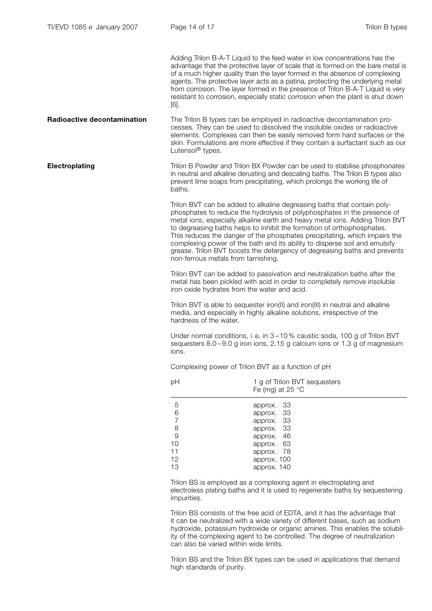Adding Trilon B-A-T Liquid to the feed water in low concentrations has the advantage that the protective layer of scale that is formed on the bare metal is of a much higher quality than the layer formed in the absence of complexing agents. The protective layer acts as a patina, protecting the underlying metal from corrosion. The layer formed in the presence of Trilon B-A-T Liquid is very resistant to corrosion, especially static corrosion when the plant is shut down [6].

**Radioactive decontamination** The Trilon B types can be employed in radioactive decontamination processes. They can be used to dissolved the insoluble oxides or radioactive elements. Complexes can then be easily removed form hard surfaces or the skin. Formulations are more effective if they contain a surfactant such as our Lutensol<sup>®</sup> types.

**Electroplating** Trilon B Powder and Trilon BX Powder can be used to stabilise phosphonates in neutral and alkaline derusting and descaling baths. The Trilon B types also prevent lime soaps from precipitating, which prolongs the working life of baths.

> Trilon BVT can be added to alkaline degreasing baths that contain polyphosphates to reduce the hydrolysis of polyphosphates in the presence of metal ions, especially alkaline earth and heavy metal ions. Adding Trilon BVT to degreasing baths helps to inhibit the formation of orthophosphates. This reduces the danger of the phosphates precipitating, which impairs the complexing power of the bath and its ability to disperse soil and emulsify grease. Trilon BVT boosts the detergency of degreasing baths and prevents non-ferrous metals from tarnishing.

Trilon BVT can be added to passivation and neutralization baths after the metal has been pickled with acid in order to completely remove insoluble iron oxide hydrates from the water and acid.

Trilon BVT is able to sequester iron(II) and iron(III) in neutral and alkaline media, and especially in highly alkaline solutions, irrespective of the hardness of the water.

Under normal conditions, i. e. in 3 – 10 % caustic soda, 100 g of Trilon BVT sequesters 8.0 – 9.0 g iron ions, 2.15 g calcium ions or 1.3 g of magnesium ions.

Complexing power of Trilon BVT as a function of pH

| рH                                | 1 g of Trilon BVT sequesters<br>Fe (mg) at 25 $\degree$ C                        |  |  |
|-----------------------------------|----------------------------------------------------------------------------------|--|--|
| 5<br>6<br>7<br>8<br>9<br>10<br>11 | approx. 33<br>approx. 33<br>approx. 33<br>approx. 33<br>approx. 46<br>approx. 63 |  |  |
| 12<br>13                          | approx. 78<br>approx. 100<br>approx. 140                                         |  |  |

Trilon BS is employed as a complexing agent in electroplating and electroless plating baths and it is used to regenerate baths by sequestering impurities.

Trilon BS consists of the free acid of EDTA, and it has the advantage that it can be neutralized with a wide variety of different bases, such as sodium hydroxide, potassium hydroxide or organic amines. This enables the solubility of the complexing agent to be controlled. The degree of neutralization can also be varied within wide limits.

Trilon BS and the Trilon BX types can be used in applications that demand high standards of purity.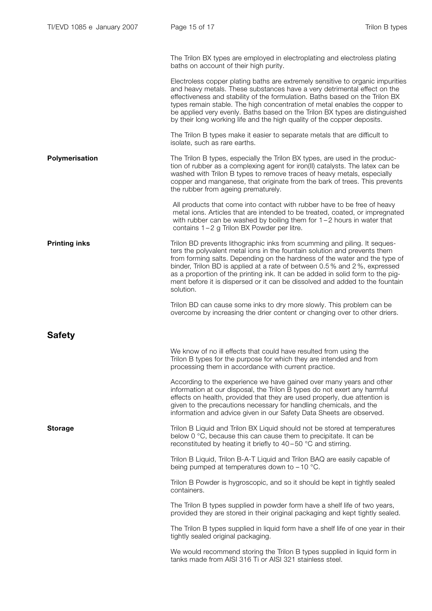The Trilon BX types are employed in electroplating and electroless plating baths on account of their high purity.

Electroless copper plating baths are extremely sensitive to organic impurities and heavy metals. These substances have a very detrimental effect on the effectiveness and stability of the formulation. Baths based on the Trilon BX types remain stable. The high concentration of metal enables the copper to be applied very evenly. Baths based on the Trilon BX types are distinguished by their long working life and the high quality of the copper deposits.

The Trilon B types make it easier to separate metals that are difficult to isolate, such as rare earths.

**Polymerisation** The Trilon B types, especially the Trilon BX types, are used in the production of rubber as a complexing agent for iron(II) catalysts. The latex can be washed with Trilon B types to remove traces of heavy metals, especially copper and manganese, that originate from the bark of trees. This prevents the rubber from ageing prematurely.

> All products that come into contact with rubber have to be free of heavy metal ions. Articles that are intended to be treated, coated, or impregnated with rubber can be washed by boiling them for 1-2 hours in water that contains 1-2 g Trilon BX Powder per litre.

**Printing inks** Trilon BD prevents lithographic inks from scumming and piling. It sequesters the polyvalent metal ions in the fountain solution and prevents them from forming salts. Depending on the hardness of the water and the type of binder, Trilon BD is applied at a rate of between 0.5 % and 2 %, expressed as a proportion of the printing ink. It can be added in solid form to the pigment before it is dispersed or it can be dissolved and added to the fountain solution.

> Trilon BD can cause some inks to dry more slowly. This problem can be overcome by increasing the drier content or changing over to other driers.

Safety

We know of no ill effects that could have resulted from using the Trilon B types for the purpose for which they are intended and from processing them in accordance with current practice.

According to the experience we have gained over many years and other information at our disposal, the Trilon B types do not exert any harmful effects on health, provided that they are used properly, due attention is given to the precautions necessary for handling chemicals, and the information and advice given in our Safety Data Sheets are observed.

**Storage** Trilon B Liquid and Trilon BX Liquid should not be stored at temperatures below 0 °C, because this can cause them to precipitate. It can be reconstituted by heating it briefly to 40–50 °C and stirring.

> Trilon B Liquid, Trilon B-A-T Liquid and Trilon BAQ are easily capable of being pumped at temperatures down to -10 °C.

Trilon B Powder is hygroscopic, and so it should be kept in tightly sealed containers.

The Trilon B types supplied in powder form have a shelf life of two years, provided they are stored in their original packaging and kept tightly sealed.

The Trilon B types supplied in liquid form have a shelf life of one year in their tightly sealed original packaging.

We would recommend storing the Trilon B types supplied in liquid form in tanks made from AISI 316 Ti or AISI 321 stainless steel.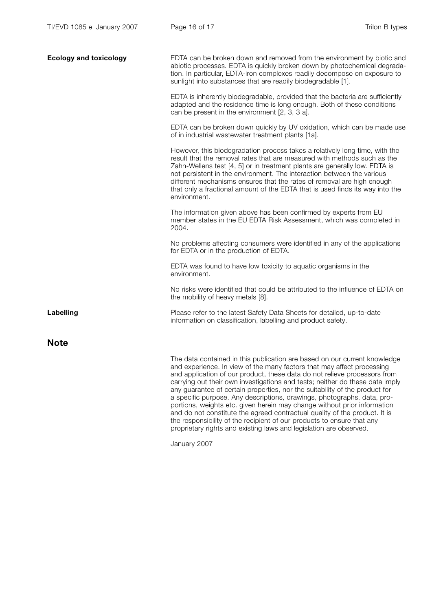| <b>Ecology and toxicology</b> | EDTA can be broken down and removed from the environment by biotic and<br>abiotic processes. EDTA is quickly broken down by photochemical degrada-<br>tion. In particular, EDTA-iron complexes readily decompose on exposure to<br>sunlight into substances that are readily biodegradable [1].                                                                                                                                                                                                                                                                                                                                      |
|-------------------------------|--------------------------------------------------------------------------------------------------------------------------------------------------------------------------------------------------------------------------------------------------------------------------------------------------------------------------------------------------------------------------------------------------------------------------------------------------------------------------------------------------------------------------------------------------------------------------------------------------------------------------------------|
|                               | EDTA is inherently biodegradable, provided that the bacteria are sufficiently<br>adapted and the residence time is long enough. Both of these conditions<br>can be present in the environment [2, 3, 3 a].                                                                                                                                                                                                                                                                                                                                                                                                                           |
|                               | EDTA can be broken down quickly by UV oxidation, which can be made use<br>of in industrial wastewater treatment plants [1a].                                                                                                                                                                                                                                                                                                                                                                                                                                                                                                         |
|                               | However, this biodegradation process takes a relatively long time, with the<br>result that the removal rates that are measured with methods such as the<br>Zahn-Wellens test [4, 5] or in treatment plants are generally low. EDTA is<br>not persistent in the environment. The interaction between the various<br>different mechanisms ensures that the rates of removal are high enough<br>that only a fractional amount of the EDTA that is used finds its way into the<br>environment.                                                                                                                                           |
|                               | The information given above has been confirmed by experts from EU<br>member states in the EU EDTA Risk Assessment, which was completed in<br>2004.                                                                                                                                                                                                                                                                                                                                                                                                                                                                                   |
|                               | No problems affecting consumers were identified in any of the applications<br>for EDTA or in the production of EDTA.                                                                                                                                                                                                                                                                                                                                                                                                                                                                                                                 |
|                               | EDTA was found to have low toxicity to aquatic organisms in the<br>environment.                                                                                                                                                                                                                                                                                                                                                                                                                                                                                                                                                      |
|                               | No risks were identified that could be attributed to the influence of EDTA on<br>the mobility of heavy metals [8].                                                                                                                                                                                                                                                                                                                                                                                                                                                                                                                   |
| Labelling                     | Please refer to the latest Safety Data Sheets for detailed, up-to-date<br>information on classification, labelling and product safety.                                                                                                                                                                                                                                                                                                                                                                                                                                                                                               |
| <b>Note</b>                   |                                                                                                                                                                                                                                                                                                                                                                                                                                                                                                                                                                                                                                      |
|                               | The data contained in this publication are based on our current knowledge<br>and experience. In view of the many factors that may affect processing<br>and application of our product, these data do not relieve processors from<br>carrying out their own investigations and tests; neither do these data imply<br>any guarantee of certain properties, nor the suitability of the product for<br>a specific purpose. Any descriptions, drawings, photographs, data, pro-<br>portions, weights etc. given herein may change without prior information<br>and do not constitute the agreed contractual quality of the product. It is |

the responsibility of the recipient of our products to ensure that any proprietary rights and existing laws and legislation are observed.

January 2007